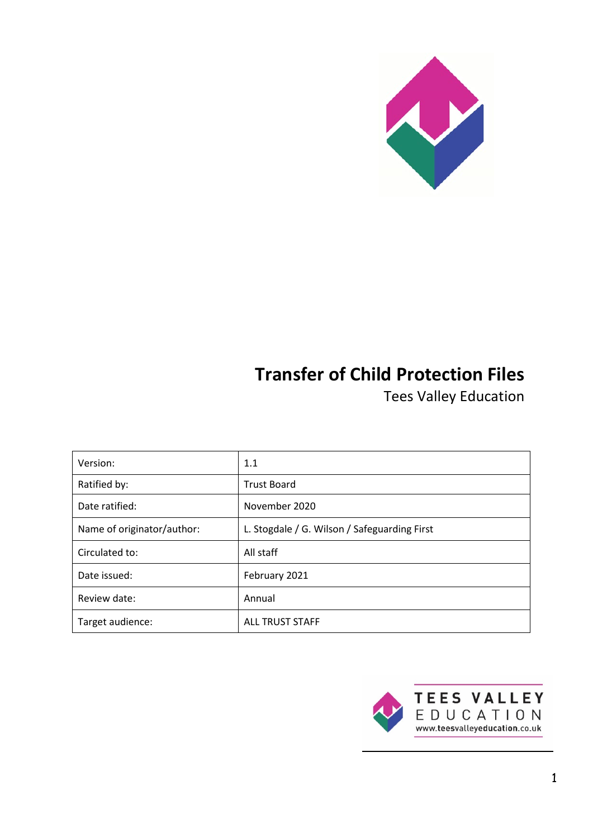

# **Transfer of Child Protection Files**

Tees Valley Education

| Version:                   | 1.1                                          |  |
|----------------------------|----------------------------------------------|--|
| Ratified by:               | <b>Trust Board</b>                           |  |
| Date ratified:             | November 2020                                |  |
| Name of originator/author: | L. Stogdale / G. Wilson / Safeguarding First |  |
| Circulated to:             | All staff                                    |  |
| Date issued:               | February 2021                                |  |
| Review date:               | Annual                                       |  |
| Target audience:           | <b>ALL TRUST STAFF</b>                       |  |

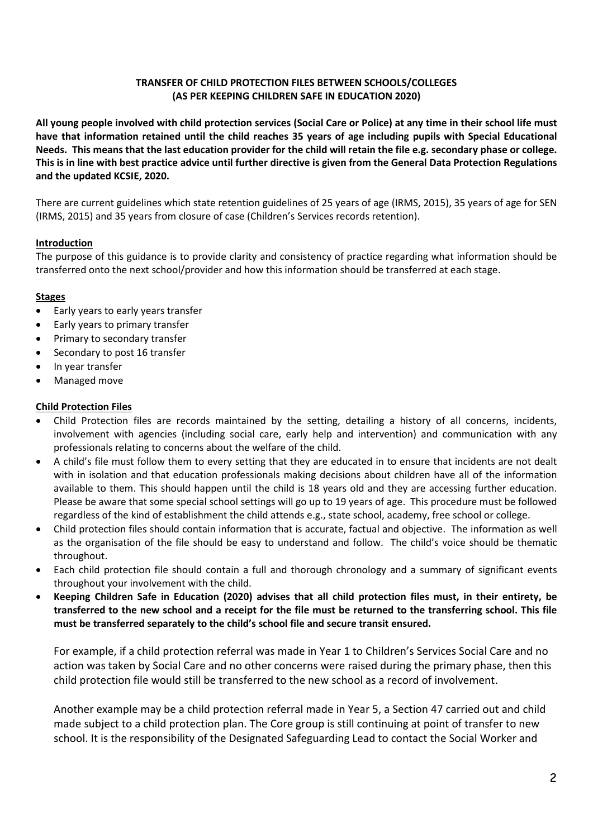## **TRANSFER OF CHILD PROTECTION FILES BETWEEN SCHOOLS/COLLEGES (AS PER KEEPING CHILDREN SAFE IN EDUCATION 2020)**

**All young people involved with child protection services (Social Care or Police) at any time in their school life must have that information retained until the child reaches 35 years of age including pupils with Special Educational Needs. This means that the last education provider for the child will retain the file e.g. secondary phase or college. This is in line with best practice advice until further directive is given from the General Data Protection Regulations and the updated KCSIE, 2020.**

There are current guidelines which state retention guidelines of 25 years of age (IRMS, 2015), 35 years of age for SEN (IRMS, 2015) and 35 years from closure of case (Children's Services records retention).

# **Introduction**

The purpose of this guidance is to provide clarity and consistency of practice regarding what information should be transferred onto the next school/provider and how this information should be transferred at each stage.

## **Stages**

- Early years to early years transfer
- Early years to primary transfer
- Primary to secondary transfer
- Secondary to post 16 transfer
- In year transfer
- Managed move

# **Child Protection Files**

- Child Protection files are records maintained by the setting, detailing a history of all concerns, incidents, involvement with agencies (including social care, early help and intervention) and communication with any professionals relating to concerns about the welfare of the child.
- A child's file must follow them to every setting that they are educated in to ensure that incidents are not dealt with in isolation and that education professionals making decisions about children have all of the information available to them. This should happen until the child is 18 years old and they are accessing further education. Please be aware that some special school settings will go up to 19 years of age. This procedure must be followed regardless of the kind of establishment the child attends e.g., state school, academy, free school or college.
- Child protection files should contain information that is accurate, factual and objective. The information as well as the organisation of the file should be easy to understand and follow. The child's voice should be thematic throughout.
- Each child protection file should contain a full and thorough chronology and a summary of significant events throughout your involvement with the child.
- **Keeping Children Safe in Education (2020) advises that all child protection files must, in their entirety, be transferred to the new school and a receipt for the file must be returned to the transferring school. This file must be transferred separately to the child's school file and secure transit ensured.**

For example, if a child protection referral was made in Year 1 to Children's Services Social Care and no action was taken by Social Care and no other concerns were raised during the primary phase, then this child protection file would still be transferred to the new school as a record of involvement.

Another example may be a child protection referral made in Year 5, a Section 47 carried out and child made subject to a child protection plan. The Core group is still continuing at point of transfer to new school. It is the responsibility of the Designated Safeguarding Lead to contact the Social Worker and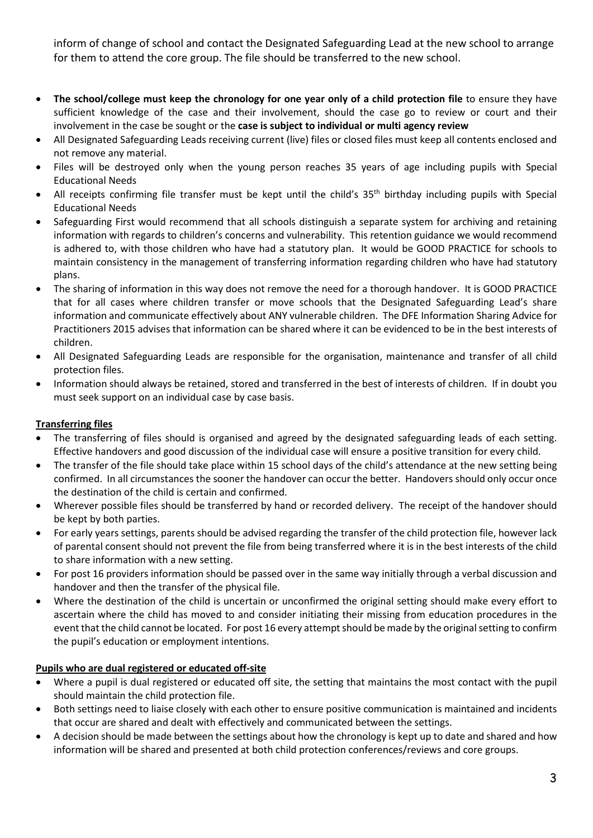inform of change of school and contact the Designated Safeguarding Lead at the new school to arrange for them to attend the core group. The file should be transferred to the new school.

- **The school/college must keep the chronology for one year only of a child protection file** to ensure they have sufficient knowledge of the case and their involvement, should the case go to review or court and their involvement in the case be sought or the **case is subject to individual or multi agency review**
- All Designated Safeguarding Leads receiving current (live) files or closed files must keep all contents enclosed and not remove any material.
- Files will be destroyed only when the young person reaches 35 years of age including pupils with Special Educational Needs
- All receipts confirming file transfer must be kept until the child's  $35<sup>th</sup>$  birthday including pupils with Special Educational Needs
- Safeguarding First would recommend that all schools distinguish a separate system for archiving and retaining information with regards to children's concerns and vulnerability. This retention guidance we would recommend is adhered to, with those children who have had a statutory plan. It would be GOOD PRACTICE for schools to maintain consistency in the management of transferring information regarding children who have had statutory plans.
- The sharing of information in this way does not remove the need for a thorough handover. It is GOOD PRACTICE that for all cases where children transfer or move schools that the Designated Safeguarding Lead's share information and communicate effectively about ANY vulnerable children. The DFE Information Sharing Advice for Practitioners 2015 advises that information can be shared where it can be evidenced to be in the best interests of children.
- All Designated Safeguarding Leads are responsible for the organisation, maintenance and transfer of all child protection files.
- Information should always be retained, stored and transferred in the best of interests of children. If in doubt you must seek support on an individual case by case basis.

## **Transferring files**

- The transferring of files should is organised and agreed by the designated safeguarding leads of each setting. Effective handovers and good discussion of the individual case will ensure a positive transition for every child.
- The transfer of the file should take place within 15 school days of the child's attendance at the new setting being confirmed. In all circumstances the sooner the handover can occur the better. Handovers should only occur once the destination of the child is certain and confirmed.
- Wherever possible files should be transferred by hand or recorded delivery. The receipt of the handover should be kept by both parties.
- For early years settings, parents should be advised regarding the transfer of the child protection file, however lack of parental consent should not prevent the file from being transferred where it is in the best interests of the child to share information with a new setting.
- For post 16 providers information should be passed over in the same way initially through a verbal discussion and handover and then the transfer of the physical file.
- Where the destination of the child is uncertain or unconfirmed the original setting should make every effort to ascertain where the child has moved to and consider initiating their missing from education procedures in the event that the child cannot be located. For post 16 every attempt should be made by the original setting to confirm the pupil's education or employment intentions.

## **Pupils who are dual registered or educated off-site**

- Where a pupil is dual registered or educated off site, the setting that maintains the most contact with the pupil should maintain the child protection file.
- Both settings need to liaise closely with each other to ensure positive communication is maintained and incidents that occur are shared and dealt with effectively and communicated between the settings.
- A decision should be made between the settings about how the chronology is kept up to date and shared and how information will be shared and presented at both child protection conferences/reviews and core groups.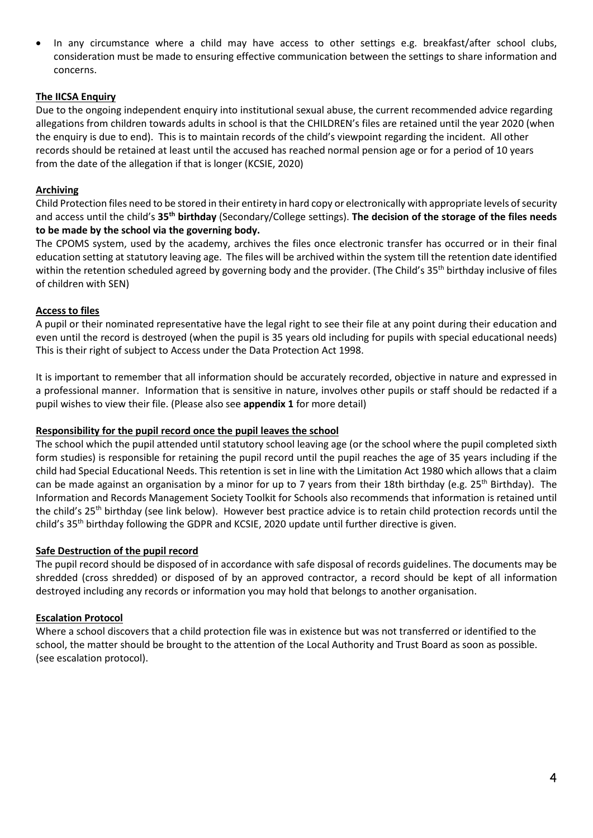In any circumstance where a child may have access to other settings e.g. breakfast/after school clubs, consideration must be made to ensuring effective communication between the settings to share information and concerns.

## **The IICSA Enquiry**

Due to the ongoing independent enquiry into institutional sexual abuse, the current recommended advice regarding allegations from children towards adults in school is that the CHILDREN's files are retained until the year 2020 (when the enquiry is due to end). This is to maintain records of the child's viewpoint regarding the incident. All other records should be retained at least until the accused has reached normal pension age or for a period of 10 years from the date of the allegation if that is longer (KCSIE, 2020)

## **Archiving**

Child Protection files need to be stored in their entirety in hard copy or electronically with appropriate levels of security and access until the child's **35th birthday** (Secondary/College settings). **The decision of the storage of the files needs to be made by the school via the governing body.**

The CPOMS system, used by the academy, archives the files once electronic transfer has occurred or in their final education setting at statutory leaving age. The files will be archived within the system till the retention date identified within the retention scheduled agreed by governing body and the provider. (The Child's 35<sup>th</sup> birthday inclusive of files of children with SEN)

## **Access to files**

A pupil or their nominated representative have the legal right to see their file at any point during their education and even until the record is destroyed (when the pupil is 35 years old including for pupils with special educational needs) This is their right of subject to Access under the Data Protection Act 1998.

It is important to remember that all information should be accurately recorded, objective in nature and expressed in a professional manner. Information that is sensitive in nature, involves other pupils or staff should be redacted if a pupil wishes to view their file. (Please also see **appendix 1** for more detail)

#### **Responsibility for the pupil record once the pupil leaves the school**

The school which the pupil attended until statutory school leaving age (or the school where the pupil completed sixth form studies) is responsible for retaining the pupil record until the pupil reaches the age of 35 years including if the child had Special Educational Needs. This retention is set in line with the Limitation Act 1980 which allows that a claim can be made against an organisation by a minor for up to 7 years from their 18th birthday (e.g. 25<sup>th</sup> Birthday). The Information and Records Management Society Toolkit for Schools also recommends that information is retained until the child's 25<sup>th</sup> birthday (see link below). However best practice advice is to retain child protection records until the child's 35<sup>th</sup> birthday following the GDPR and KCSIE, 2020 update until further directive is given.

#### **Safe Destruction of the pupil record**

The pupil record should be disposed of in accordance with safe disposal of records guidelines. The documents may be shredded (cross shredded) or disposed of by an approved contractor, a record should be kept of all information destroyed including any records or information you may hold that belongs to another organisation.

## **Escalation Protocol**

Where a school discovers that a child protection file was in existence but was not transferred or identified to the school, the matter should be brought to the attention of the Local Authority and Trust Board as soon as possible. (see escalation protocol).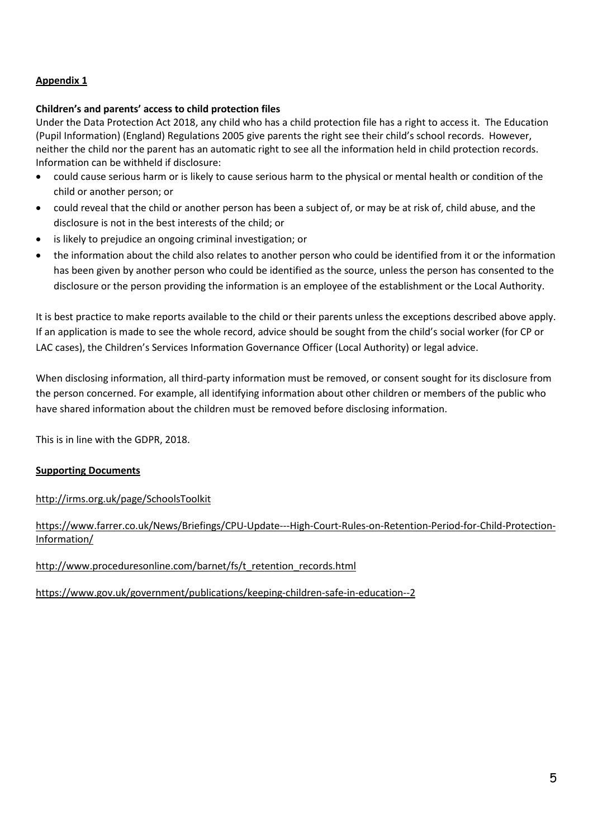# **Appendix 1**

## **Children's and parents' access to child protection files**

Under the Data Protection Act 2018, any child who has a child protection file has a right to access it. The Education (Pupil Information) (England) Regulations 2005 give parents the right see their child's school records. However, neither the child nor the parent has an automatic right to see all the information held in child protection records. Information can be withheld if disclosure:

- could cause serious harm or is likely to cause serious harm to the physical or mental health or condition of the child or another person; or
- could reveal that the child or another person has been a subject of, or may be at risk of, child abuse, and the disclosure is not in the best interests of the child; or
- is likely to prejudice an ongoing criminal investigation; or
- the information about the child also relates to another person who could be identified from it or the information has been given by another person who could be identified as the source, unless the person has consented to the disclosure or the person providing the information is an employee of the establishment or the Local Authority.

It is best practice to make reports available to the child or their parents unless the exceptions described above apply. If an application is made to see the whole record, advice should be sought from the child's social worker (for CP or LAC cases), the Children's Services Information Governance Officer (Local Authority) or legal advice.

When disclosing information, all third-party information must be removed, or consent sought for its disclosure from the person concerned. For example, all identifying information about other children or members of the public who have shared information about the children must be removed before disclosing information.

This is in line with the GDPR, 2018.

## **Supporting Documents**

<http://irms.org.uk/page/SchoolsToolkit>

# [https://www.farrer.co.uk/News/Briefings/CPU-Update---High-Court-Rules-on-Retention-Period-for-Child-Protection-](https://www.farrer.co.uk/News/Briefings/CPU-Update---High-Court-Rules-on-Retention-Period-for-Child-Protection-Information/)[Information/](https://www.farrer.co.uk/News/Briefings/CPU-Update---High-Court-Rules-on-Retention-Period-for-Child-Protection-Information/)

[http://www.proceduresonline.com/barnet/fs/t\\_retention\\_records.html](http://www.proceduresonline.com/barnet/fs/t_retention_records.html)

<https://www.gov.uk/government/publications/keeping-children-safe-in-education--2>